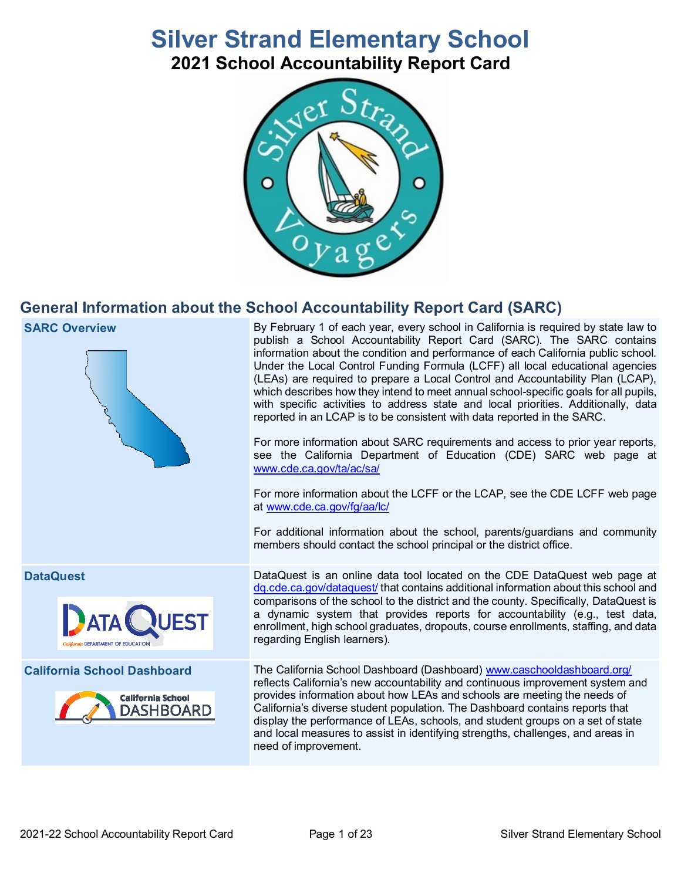# **Silver Strand Elementary School 2021 School Accountability Report Card**



# **General Information about the School Accountability Report Card (SARC)**





**SARC Overview** By February 1 of each year, every school in California is required by state law to publish a School Accountability Report Card (SARC). The SARC contains information about the condition and performance of each California public school. Under the Local Control Funding Formula (LCFF) all local educational agencies (LEAs) are required to prepare a Local Control and Accountability Plan (LCAP), which describes how they intend to meet annual school-specific goals for all pupils, with specific activities to address state and local priorities. Additionally, data reported in an LCAP is to be consistent with data reported in the SARC.

> For more information about SARC requirements and access to prior year reports, see the California Department of Education (CDE) SARC web page at [www.cde.ca.gov/ta/ac/sa/](https://www.cde.ca.gov/ta/ac/sa/)

> For more information about the LCFF or the LCAP, see the CDE LCFF web page at [www.cde.ca.gov/fg/aa/lc/](https://www.cde.ca.gov/fg/aa/lc/)

> For additional information about the school, parents/guardians and community members should contact the school principal or the district office.





**DataQuest** DataQuest is an online data tool located on the CDE DataQuest web page at [dq.cde.ca.gov/dataquest/](https://dq.cde.ca.gov/dataquest/) that contains additional information about this school and comparisons of the school to the district and the county. Specifically, DataQuest is a dynamic system that provides reports for accountability (e.g., test data, enrollment, high school graduates, dropouts, course enrollments, staffing, and data regarding English learners).

**California School Dashboard** The California School Dashboard (Dashboard) [www.caschooldashboard.org/](http://www.caschooldashboard.org/) reflects California's new accountability and continuous improvement system and provides information about how LEAs and schools are meeting the needs of California's diverse student population. The Dashboard contains reports that display the performance of LEAs, schools, and student groups on a set of state and local measures to assist in identifying strengths, challenges, and areas in need of improvement.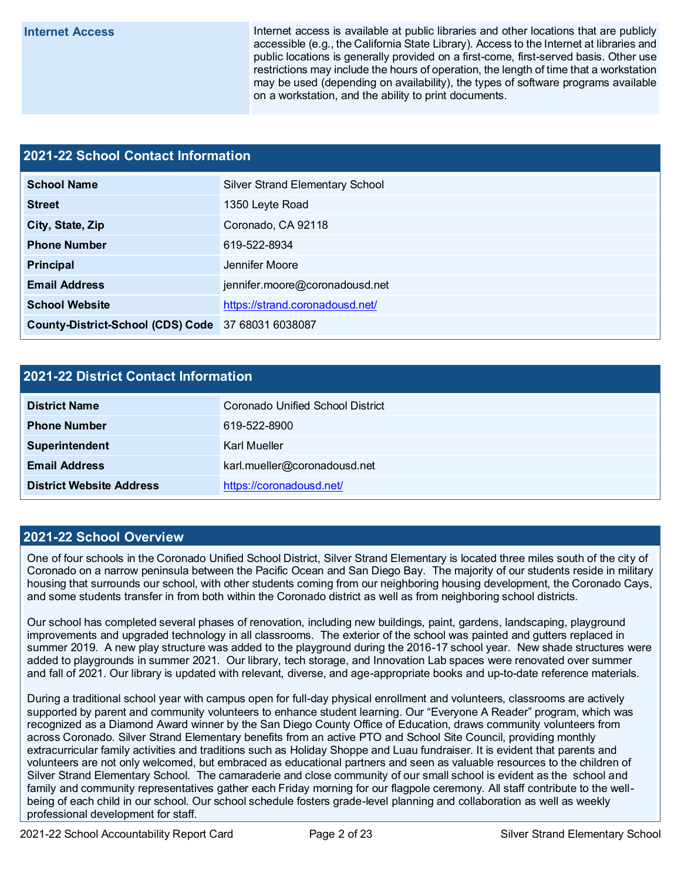**Internet Access** Internet access is available at public libraries and other locations that are publicly accessible (e.g., the California State Library). Access to the Internet at libraries and public locations is generally provided on a first-come, first-served basis. Other use restrictions may include the hours of operation, the length of time that a workstation may be used (depending on availability), the types of software programs available on a workstation, and the ability to print documents.

### **2021-22 School Contact Information**

| <b>School Name</b>                                 | <b>Silver Strand Elementary School</b> |  |  |  |  |  |
|----------------------------------------------------|----------------------------------------|--|--|--|--|--|
| <b>Street</b>                                      | 1350 Leyte Road                        |  |  |  |  |  |
| City, State, Zip                                   | Coronado, CA 92118                     |  |  |  |  |  |
| <b>Phone Number</b>                                | 619-522-8934                           |  |  |  |  |  |
| Principal                                          | Jennifer Moore                         |  |  |  |  |  |
| <b>Email Address</b>                               | jennifer.moore@coronadousd.net         |  |  |  |  |  |
| <b>School Website</b>                              | https://strand.coronadousd.net/        |  |  |  |  |  |
| County-District-School (CDS) Code 37 68031 6038087 |                                        |  |  |  |  |  |

### **2021-22 District Contact Information**

| <b>District Name</b>            | Coronado Unified School District |  |  |  |  |
|---------------------------------|----------------------------------|--|--|--|--|
| <b>Phone Number</b>             | 619-522-8900                     |  |  |  |  |
| <b>Superintendent</b>           | Karl Mueller                     |  |  |  |  |
| <b>Email Address</b>            | karl.mueller@coronadousd.net     |  |  |  |  |
| <b>District Website Address</b> | https://coronadousd.net/         |  |  |  |  |

### **2021-22 School Overview**

One of four schools in the Coronado Unified School District, Silver Strand Elementary is located three miles south of the city of Coronado on a narrow peninsula between the Pacific Ocean and San Diego Bay. The majority of our students reside in military housing that surrounds our school, with other students coming from our neighboring housing development, the Coronado Cays, and some students transfer in from both within the Coronado district as well as from neighboring school districts.

Our school has completed several phases of renovation, including new buildings, paint, gardens, landscaping, playground improvements and upgraded technology in all classrooms. The exterior of the school was painted and gutters replaced in summer 2019. A new play structure was added to the playground during the 2016-17 school year. New shade structures were added to playgrounds in summer 2021. Our library, tech storage, and Innovation Lab spaces were renovated over summer and fall of 2021. Our library is updated with relevant, diverse, and age-appropriate books and up-to-date reference materials.

During a traditional school year with campus open for full-day physical enrollment and volunteers, classrooms are actively supported by parent and community volunteers to enhance student learning. Our "Everyone A Reader" program, which was recognized as a Diamond Award winner by the San Diego County Office of Education, draws community volunteers from across Coronado. Silver Strand Elementary benefits from an active PTO and School Site Council, providing monthly extracurricular family activities and traditions such as Holiday Shoppe and Luau fundraiser. It is evident that parents and volunteers are not only welcomed, but embraced as educational partners and seen as valuable resources to the children of Silver Strand Elementary School. The camaraderie and close community of our small school is evident as the school and family and community representatives gather each Friday morning for our flagpole ceremony. All staff contribute to the wellbeing of each child in our school. Our school schedule fosters grade-level planning and collaboration as well as weekly professional development for staff.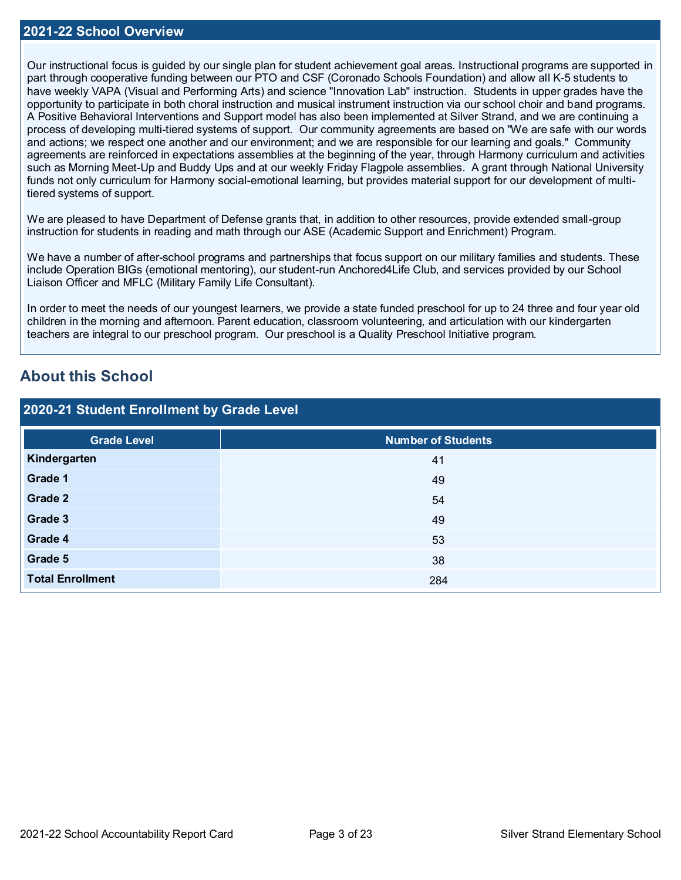Our instructional focus is guided by our single plan for student achievement goal areas. Instructional programs are supported in part through cooperative funding between our PTO and CSF (Coronado Schools Foundation) and allow all K-5 students to have weekly VAPA (Visual and Performing Arts) and science "Innovation Lab" instruction. Students in upper grades have the opportunity to participate in both choral instruction and musical instrument instruction via our school choir and band programs. A Positive Behavioral Interventions and Support model has also been implemented at Silver Strand, and we are continuing a process of developing multi-tiered systems of support. Our community agreements are based on "We are safe with our words and actions; we respect one another and our environment; and we are responsible for our learning and goals." Community agreements are reinforced in expectations assemblies at the beginning of the year, through Harmony curriculum and activities such as Morning Meet-Up and Buddy Ups and at our weekly Friday Flagpole assemblies. A grant through National University funds not only curriculum for Harmony social-emotional learning, but provides material support for our development of multitiered systems of support.

We are pleased to have Department of Defense grants that, in addition to other resources, provide extended small-group instruction for students in reading and math through our ASE (Academic Support and Enrichment) Program.

We have a number of after-school programs and partnerships that focus support on our military families and students. These include Operation BIGs (emotional mentoring), our student-run Anchored4Life Club, and services provided by our School Liaison Officer and MFLC (Military Family Life Consultant).

In order to meet the needs of our youngest learners, we provide a state funded preschool for up to 24 three and four year old children in the morning and afternoon. Parent education, classroom volunteering, and articulation with our kindergarten teachers are integral to our preschool program. Our preschool is a Quality Preschool Initiative program.

# **About this School**

| 2020-21 Student Enrollment by Grade Level |                           |  |  |  |  |
|-------------------------------------------|---------------------------|--|--|--|--|
| <b>Grade Level</b>                        | <b>Number of Students</b> |  |  |  |  |
| Kindergarten                              | 41                        |  |  |  |  |
| Grade 1                                   | 49                        |  |  |  |  |
| <b>Grade 2</b>                            | 54                        |  |  |  |  |
| Grade 3                                   | 49                        |  |  |  |  |
| Grade 4                                   | 53                        |  |  |  |  |
| Grade 5                                   | 38                        |  |  |  |  |
| <b>Total Enrollment</b>                   | 284                       |  |  |  |  |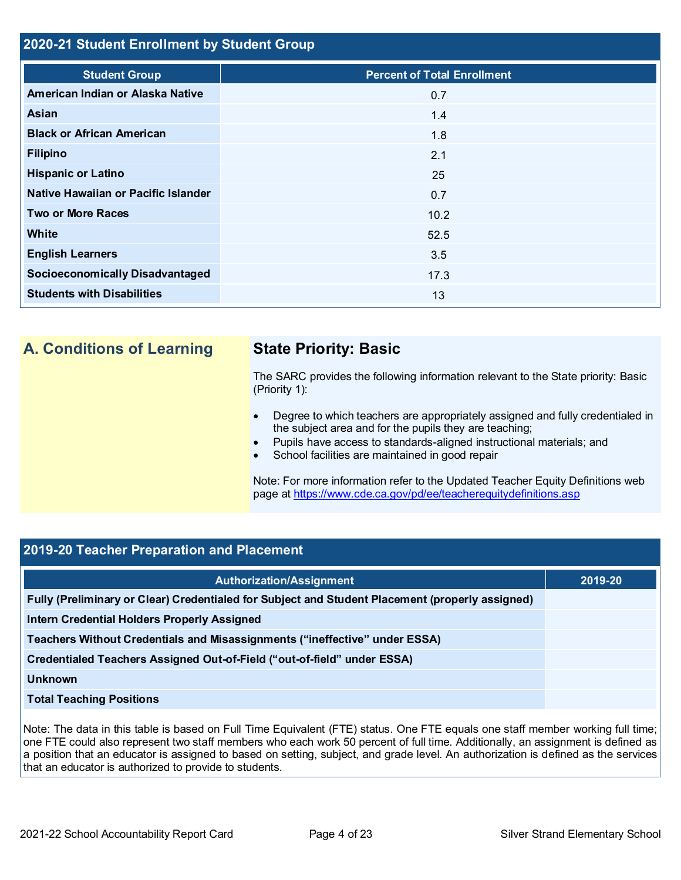### **2020-21 Student Enrollment by Student Group**

| <b>Student Group</b>                   | <b>Percent of Total Enrollment</b> |
|----------------------------------------|------------------------------------|
| American Indian or Alaska Native       | 0.7                                |
| <b>Asian</b>                           | 1.4                                |
| <b>Black or African American</b>       | 1.8                                |
| <b>Filipino</b>                        | 2.1                                |
| <b>Hispanic or Latino</b>              | 25                                 |
| Native Hawaiian or Pacific Islander    | 0.7                                |
| <b>Two or More Races</b>               | 10.2                               |
| <b>White</b>                           | 52.5                               |
| <b>English Learners</b>                | 3.5                                |
| <b>Socioeconomically Disadvantaged</b> | 17.3                               |
| <b>Students with Disabilities</b>      | 13                                 |

# **A. Conditions of Learning State Priority: Basic**

The SARC provides the following information relevant to the State priority: Basic (Priority 1):

- Degree to which teachers are appropriately assigned and fully credentialed in the subject area and for the pupils they are teaching;
- Pupils have access to standards-aligned instructional materials; and
- School facilities are maintained in good repair

Note: For more information refer to the Updated Teacher Equity Definitions web page at<https://www.cde.ca.gov/pd/ee/teacherequitydefinitions.asp>

### **2019-20 Teacher Preparation and Placement**

| <b>Authorization/Assignment</b>                                                                 | 2019-20 |
|-------------------------------------------------------------------------------------------------|---------|
| Fully (Preliminary or Clear) Credentialed for Subject and Student Placement (properly assigned) |         |
| <b>Intern Credential Holders Properly Assigned</b>                                              |         |
| Teachers Without Credentials and Misassignments ("ineffective" under ESSA)                      |         |
| Credentialed Teachers Assigned Out-of-Field ("out-of-field" under ESSA)                         |         |
| <b>Unknown</b>                                                                                  |         |
| <b>Total Teaching Positions</b>                                                                 |         |

Note: The data in this table is based on Full Time Equivalent (FTE) status. One FTE equals one staff member working full time; one FTE could also represent two staff members who each work 50 percent of full time. Additionally, an assignment is defined as a position that an educator is assigned to based on setting, subject, and grade level. An authorization is defined as the services that an educator is authorized to provide to students.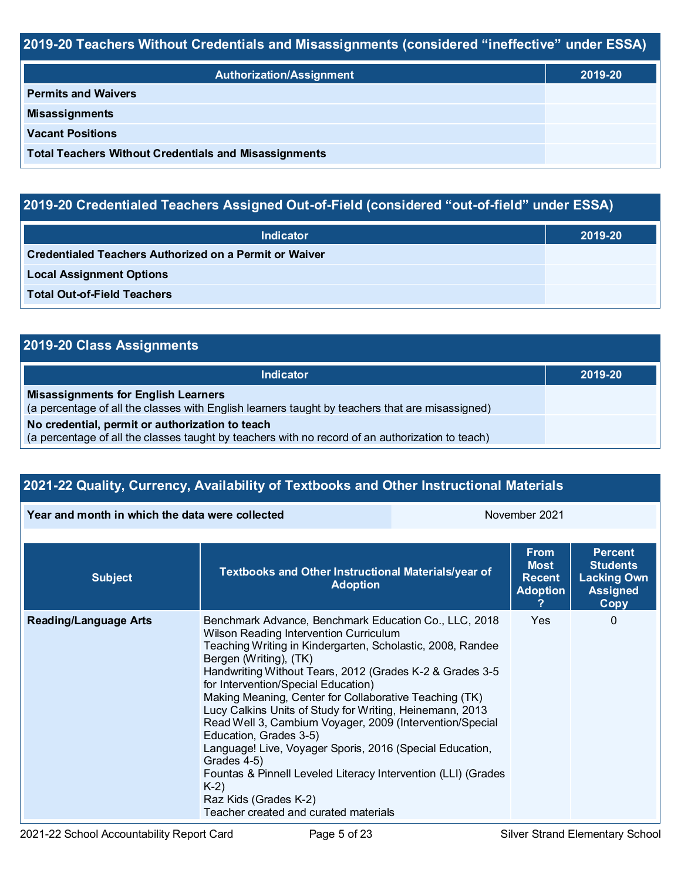## **2019-20 Teachers Without Credentials and Misassignments (considered "ineffective" under ESSA)**

| <b>Authorization/Assignment</b>                              | 2019-20 |
|--------------------------------------------------------------|---------|
| <b>Permits and Waivers</b>                                   |         |
| <b>Misassignments</b>                                        |         |
| <b>Vacant Positions</b>                                      |         |
| <b>Total Teachers Without Credentials and Misassignments</b> |         |

# **2019-20 Credentialed Teachers Assigned Out-of-Field (considered "out-of-field" under ESSA)**

| <b>Indicator</b>                                       | 2019-20 |
|--------------------------------------------------------|---------|
| Credentialed Teachers Authorized on a Permit or Waiver |         |
| <b>Local Assignment Options</b>                        |         |
| <b>Total Out-of-Field Teachers</b>                     |         |

| 2019-20 Class Assignments |  |  |
|---------------------------|--|--|
|---------------------------|--|--|

| Indicator                                                                                                                                           | 2019-20 |
|-----------------------------------------------------------------------------------------------------------------------------------------------------|---------|
| <b>Misassignments for English Learners</b><br>(a percentage of all the classes with English learners taught by teachers that are misassigned)       |         |
| No credential, permit or authorization to teach<br>(a percentage of all the classes taught by teachers with no record of an authorization to teach) |         |

# **2021-22 Quality, Currency, Availability of Textbooks and Other Instructional Materials**

**Year and month in which the data were collected** November 2021

| <b>Subject</b>               | Textbooks and Other Instructional Materials/year of<br><b>Adoption</b>                                                                                                                                                                                                                                                                                                                                                                                                                                                                                                                                                                                                                                                         | <b>From</b><br><b>Most</b><br><b>Recent</b><br><b>Adoption</b> | <b>Percent</b><br><b>Students</b><br><b>Lacking Own</b><br><b>Assigned</b><br>Copy |
|------------------------------|--------------------------------------------------------------------------------------------------------------------------------------------------------------------------------------------------------------------------------------------------------------------------------------------------------------------------------------------------------------------------------------------------------------------------------------------------------------------------------------------------------------------------------------------------------------------------------------------------------------------------------------------------------------------------------------------------------------------------------|----------------------------------------------------------------|------------------------------------------------------------------------------------|
| <b>Reading/Language Arts</b> | Benchmark Advance, Benchmark Education Co., LLC, 2018<br>Wilson Reading Intervention Curriculum<br>Teaching Writing in Kindergarten, Scholastic, 2008, Randee<br>Bergen (Writing), (TK)<br>Handwriting Without Tears, 2012 (Grades K-2 & Grades 3-5<br>for Intervention/Special Education)<br>Making Meaning, Center for Collaborative Teaching (TK)<br>Lucy Calkins Units of Study for Writing, Heinemann, 2013<br>Read Well 3, Cambium Voyager, 2009 (Intervention/Special<br>Education, Grades 3-5)<br>Language! Live, Voyager Sporis, 2016 (Special Education,<br>Grades 4-5)<br>Fountas & Pinnell Leveled Literacy Intervention (LLI) (Grades<br>$K-2)$<br>Raz Kids (Grades K-2)<br>Teacher created and curated materials | <b>Yes</b>                                                     | 0                                                                                  |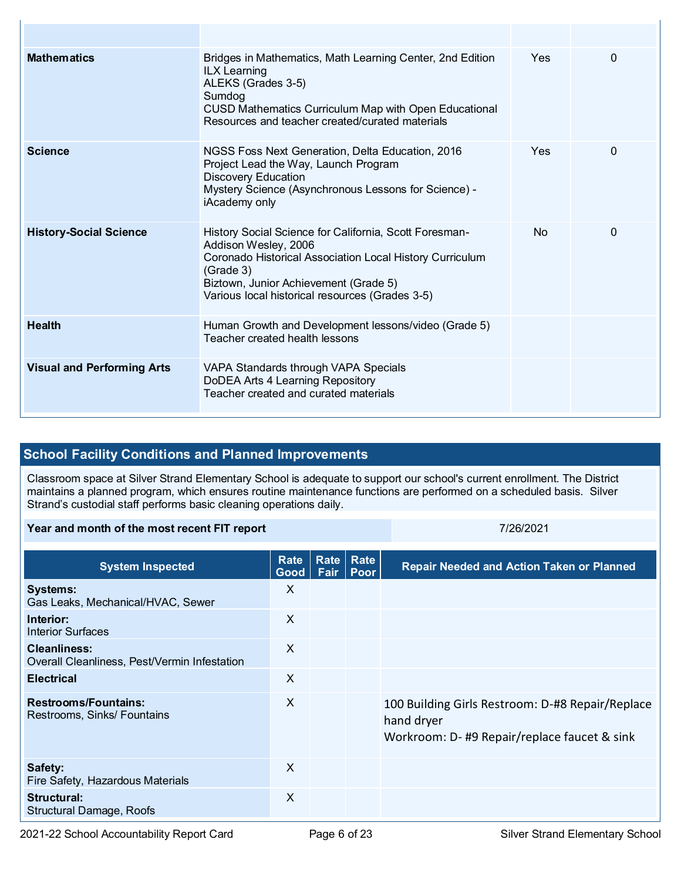| <b>Mathematics</b>                | Bridges in Mathematics, Math Learning Center, 2nd Edition<br><b>ILX Learning</b><br>ALEKS (Grades 3-5)<br>Sumdog<br><b>CUSD Mathematics Curriculum Map with Open Educational</b><br>Resources and teacher created/curated materials                 | Yes.       | $\Omega$ |
|-----------------------------------|-----------------------------------------------------------------------------------------------------------------------------------------------------------------------------------------------------------------------------------------------------|------------|----------|
| <b>Science</b>                    | NGSS Foss Next Generation, Delta Education, 2016<br>Project Lead the Way, Launch Program<br><b>Discovery Education</b><br>Mystery Science (Asynchronous Lessons for Science) -<br>iAcademy only                                                     | <b>Yes</b> | 0        |
| <b>History-Social Science</b>     | History Social Science for California, Scott Foresman-<br>Addison Wesley, 2006<br>Coronado Historical Association Local History Curriculum<br>(Grade 3)<br>Biztown, Junior Achievement (Grade 5)<br>Various local historical resources (Grades 3-5) | No.        | $\Omega$ |
| <b>Health</b>                     | Human Growth and Development lessons/video (Grade 5)<br>Teacher created health lessons                                                                                                                                                              |            |          |
| <b>Visual and Performing Arts</b> | VAPA Standards through VAPA Specials<br>DoDEA Arts 4 Learning Repository<br>Teacher created and curated materials                                                                                                                                   |            |          |

## **School Facility Conditions and Planned Improvements**

Classroom space at Silver Strand Elementary School is adequate to support our school's current enrollment. The District maintains a planned program, which ensures routine maintenance functions are performed on a scheduled basis. Silver Strand's custodial staff performs basic cleaning operations daily.

### **Year and month of the most recent FIT report** *CONDER 1999 <b>7/26/2021*

**System Inspected Rate Good Rate Rate Fair Poor Repair Needed and Action Taken or Planned Systems:** Gas Leaks, Mechanical/HVAC, Sewer X **Interior:** Interior Surfaces X **Cleanliness:** Overall Cleanliness, Pest/Vermin Infestation X **Electrical** X **Restrooms/Fountains:** Restrooms, Sinks/ Fountains X 100 Building Girls Restroom: D-#8 Repair/Replace hand dryer Workroom: D- #9 Repair/replace faucet & sink **Safety:** Fire Safety, Hazardous Materials X **Structural:** Structural Damage, Roofs X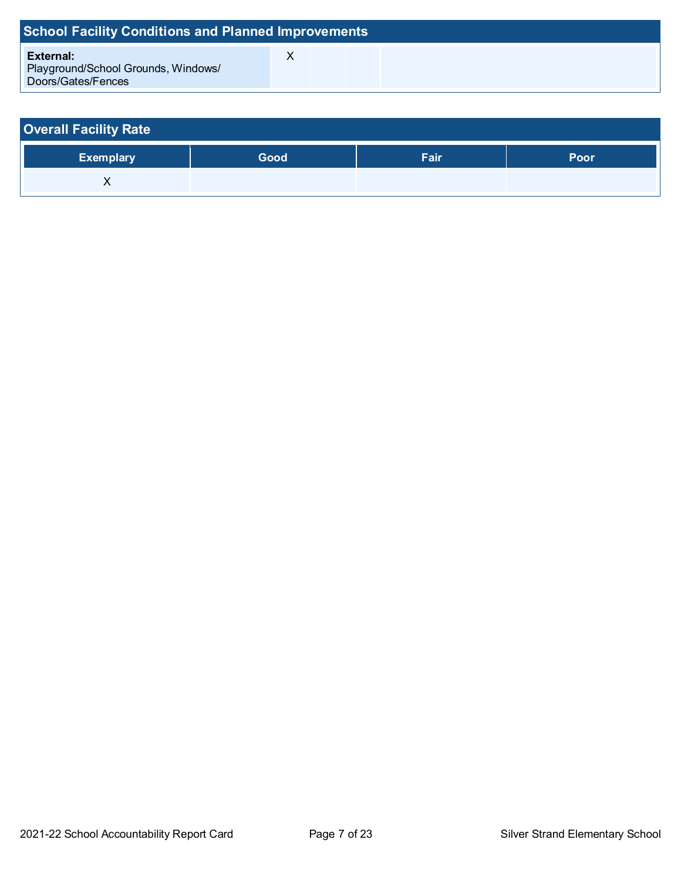| <b>School Facility Conditions and Planned Improvements</b>                    |  |  |  |  |  |  |  |  |  |
|-------------------------------------------------------------------------------|--|--|--|--|--|--|--|--|--|
| <b>External:</b><br>Playground/School Grounds, Windows/<br>Doors/Gates/Fences |  |  |  |  |  |  |  |  |  |

| <b>Overall Facility Rate</b> |      |             |      |  |  |  |  |  |
|------------------------------|------|-------------|------|--|--|--|--|--|
| <b>Exemplary</b>             | Good | <b>Fair</b> | Poor |  |  |  |  |  |
|                              |      |             |      |  |  |  |  |  |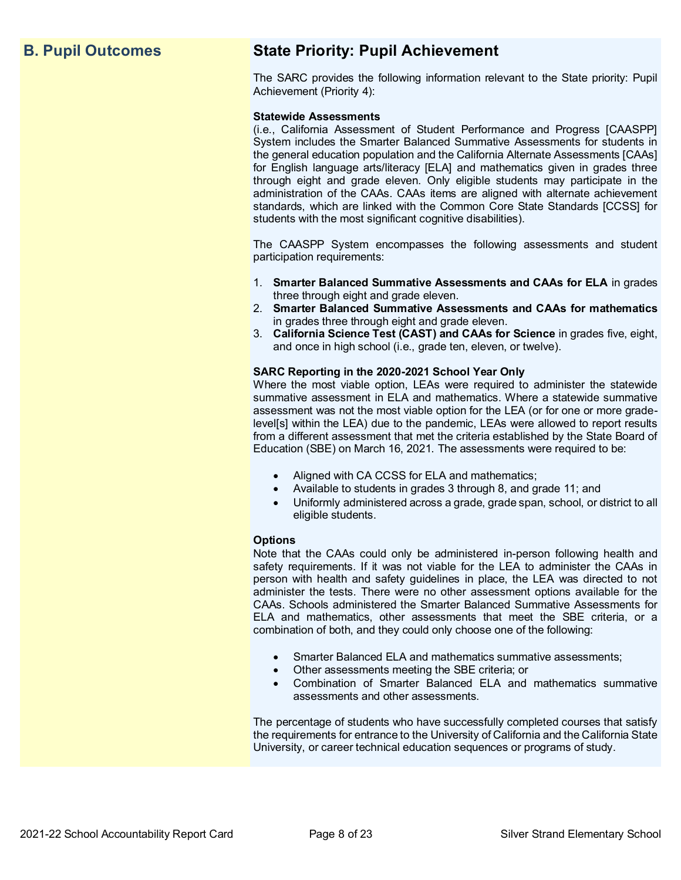# **B. Pupil Outcomes State Priority: Pupil Achievement**

The SARC provides the following information relevant to the State priority: Pupil Achievement (Priority 4):

### **Statewide Assessments**

(i.e., California Assessment of Student Performance and Progress [CAASPP] System includes the Smarter Balanced Summative Assessments for students in the general education population and the California Alternate Assessments [CAAs] for English language arts/literacy [ELA] and mathematics given in grades three through eight and grade eleven. Only eligible students may participate in the administration of the CAAs. CAAs items are aligned with alternate achievement standards, which are linked with the Common Core State Standards [CCSS] for students with the most significant cognitive disabilities).

The CAASPP System encompasses the following assessments and student participation requirements:

- 1. **Smarter Balanced Summative Assessments and CAAs for ELA** in grades three through eight and grade eleven.
- 2. **Smarter Balanced Summative Assessments and CAAs for mathematics** in grades three through eight and grade eleven.
- 3. **California Science Test (CAST) and CAAs for Science** in grades five, eight, and once in high school (i.e., grade ten, eleven, or twelve).

### **SARC Reporting in the 2020-2021 School Year Only**

Where the most viable option, LEAs were required to administer the statewide summative assessment in ELA and mathematics. Where a statewide summative assessment was not the most viable option for the LEA (or for one or more gradelevel[s] within the LEA) due to the pandemic, LEAs were allowed to report results from a different assessment that met the criteria established by the State Board of Education (SBE) on March 16, 2021. The assessments were required to be:

- Aligned with CA CCSS for ELA and mathematics;
- Available to students in grades 3 through 8, and grade 11; and
- Uniformly administered across a grade, grade span, school, or district to all eligible students.

### **Options**

Note that the CAAs could only be administered in-person following health and safety requirements. If it was not viable for the LEA to administer the CAAs in person with health and safety guidelines in place, the LEA was directed to not administer the tests. There were no other assessment options available for the CAAs. Schools administered the Smarter Balanced Summative Assessments for ELA and mathematics, other assessments that meet the SBE criteria, or a combination of both, and they could only choose one of the following:

- Smarter Balanced ELA and mathematics summative assessments;
- Other assessments meeting the SBE criteria; or
- Combination of Smarter Balanced ELA and mathematics summative assessments and other assessments.

The percentage of students who have successfully completed courses that satisfy the requirements for entrance to the University of California and the California State University, or career technical education sequences or programs of study.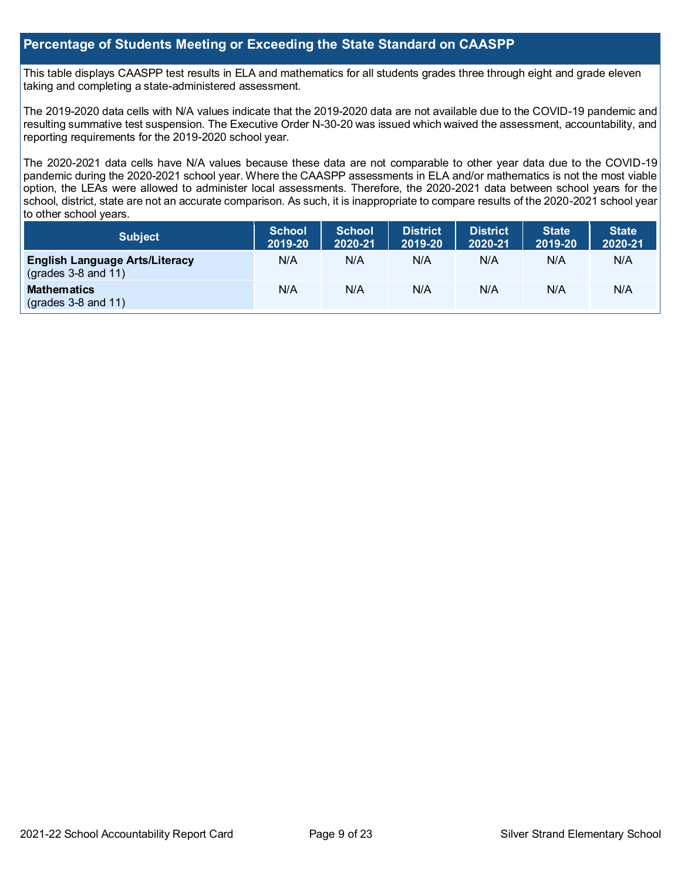### **Percentage of Students Meeting or Exceeding the State Standard on CAASPP**

This table displays CAASPP test results in ELA and mathematics for all students grades three through eight and grade eleven taking and completing a state-administered assessment.

The 2019-2020 data cells with N/A values indicate that the 2019-2020 data are not available due to the COVID-19 pandemic and resulting summative test suspension. The Executive Order N-30-20 was issued which waived the assessment, accountability, and reporting requirements for the 2019-2020 school year.

The 2020-2021 data cells have N/A values because these data are not comparable to other year data due to the COVID-19 pandemic during the 2020-2021 school year. Where the CAASPP assessments in ELA and/or mathematics is not the most viable option, the LEAs were allowed to administer local assessments. Therefore, the 2020-2021 data between school years for the school, district, state are not an accurate comparison. As such, it is inappropriate to compare results of the 2020-2021 school year to other school years.

| <b>Subject</b>                                                       | <b>School</b><br>2019-20 | <b>School</b><br>2020-21 | <b>District</b><br>2019-20 | <b>District</b><br>2020-21 | <b>State</b><br>2019-20 | State <sup>1</sup><br>2020-21 |
|----------------------------------------------------------------------|--------------------------|--------------------------|----------------------------|----------------------------|-------------------------|-------------------------------|
| <b>English Language Arts/Literacy</b><br>$\left($ grades 3-8 and 11) | N/A                      | N/A                      | N/A                        | N/A                        | N/A                     | N/A                           |
| <b>Mathematics</b><br>$\left($ grades 3-8 and 11)                    | N/A                      | N/A                      | N/A                        | N/A                        | N/A                     | N/A                           |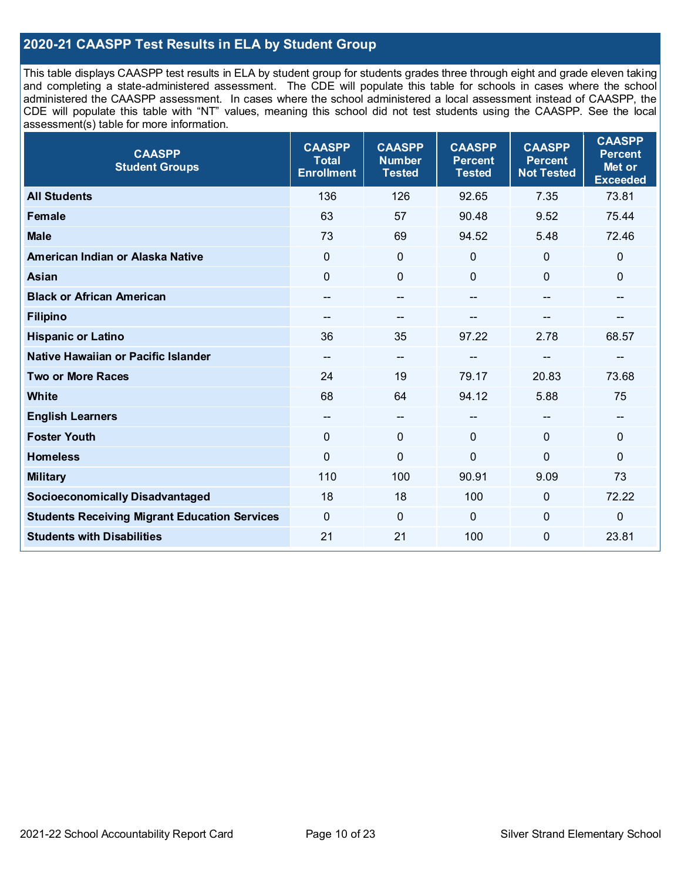## **2020-21 CAASPP Test Results in ELA by Student Group**

This table displays CAASPP test results in ELA by student group for students grades three through eight and grade eleven taking and completing a state-administered assessment. The CDE will populate this table for schools in cases where the school administered the CAASPP assessment. In cases where the school administered a local assessment instead of CAASPP, the CDE will populate this table with "NT" values, meaning this school did not test students using the CAASPP. See the local assessment(s) table for more information.

| <b>CAASPP</b><br><b>Student Groups</b>               | <b>CAASPP</b><br><b>Total</b><br><b>Enrollment</b> | <b>CAASPP</b><br><b>Number</b><br><b>Tested</b> | <b>CAASPP</b><br><b>Percent</b><br><b>Tested</b> | <b>CAASPP</b><br><b>Percent</b><br><b>Not Tested</b> | <b>CAASPP</b><br><b>Percent</b><br>Met or<br><b>Exceeded</b> |
|------------------------------------------------------|----------------------------------------------------|-------------------------------------------------|--------------------------------------------------|------------------------------------------------------|--------------------------------------------------------------|
| <b>All Students</b>                                  | 136                                                | 126                                             | 92.65                                            | 7.35                                                 | 73.81                                                        |
| Female                                               | 63                                                 | 57                                              | 90.48                                            | 9.52                                                 | 75.44                                                        |
| <b>Male</b>                                          | 73                                                 | 69                                              | 94.52                                            | 5.48                                                 | 72.46                                                        |
| American Indian or Alaska Native                     | $\mathbf 0$                                        | $\pmb{0}$                                       | $\mathbf 0$                                      | $\mathbf 0$                                          | $\mathbf 0$                                                  |
| <b>Asian</b>                                         | $\mathbf{0}$                                       | $\mathbf 0$                                     | $\mathbf{0}$                                     | $\Omega$                                             | $\mathbf{0}$                                                 |
| <b>Black or African American</b>                     |                                                    | $\qquad \qquad \qquad \qquad$                   | --                                               | $\overline{\phantom{a}}$                             | $\qquad \qquad \qquad \qquad$                                |
| <b>Filipino</b>                                      | $-$                                                | $\overline{a}$                                  |                                                  | --                                                   | --                                                           |
| <b>Hispanic or Latino</b>                            | 36                                                 | 35                                              | 97.22                                            | 2.78                                                 | 68.57                                                        |
| Native Hawaiian or Pacific Islander                  | $\overline{\phantom{m}}$                           | $\overline{\phantom{a}}$                        | --                                               | $\qquad \qquad \blacksquare$                         | $\qquad \qquad \qquad \qquad$                                |
| <b>Two or More Races</b>                             | 24                                                 | 19                                              | 79.17                                            | 20.83                                                | 73.68                                                        |
| <b>White</b>                                         | 68                                                 | 64                                              | 94.12                                            | 5.88                                                 | 75                                                           |
| <b>English Learners</b>                              | $\overline{\phantom{m}}$                           | $\overline{\phantom{a}}$                        | --                                               | $\mathbf{m}$                                         | $\qquad \qquad \qquad \qquad$                                |
| <b>Foster Youth</b>                                  | $\mathbf{0}$                                       | $\mathbf 0$                                     | $\mathbf{0}$                                     | $\mathbf{0}$                                         | $\mathbf 0$                                                  |
| <b>Homeless</b>                                      | $\Omega$                                           | $\mathbf 0$                                     | $\mathbf 0$                                      | 0                                                    | $\mathbf 0$                                                  |
| <b>Military</b>                                      | 110                                                | 100                                             | 90.91                                            | 9.09                                                 | 73                                                           |
| <b>Socioeconomically Disadvantaged</b>               | 18                                                 | 18                                              | 100                                              | $\Omega$                                             | 72.22                                                        |
| <b>Students Receiving Migrant Education Services</b> | $\mathbf 0$                                        | $\mathbf 0$                                     | $\mathbf 0$                                      | $\mathbf 0$                                          | $\mathbf 0$                                                  |
| <b>Students with Disabilities</b>                    | 21                                                 | 21                                              | 100                                              | $\mathbf 0$                                          | 23.81                                                        |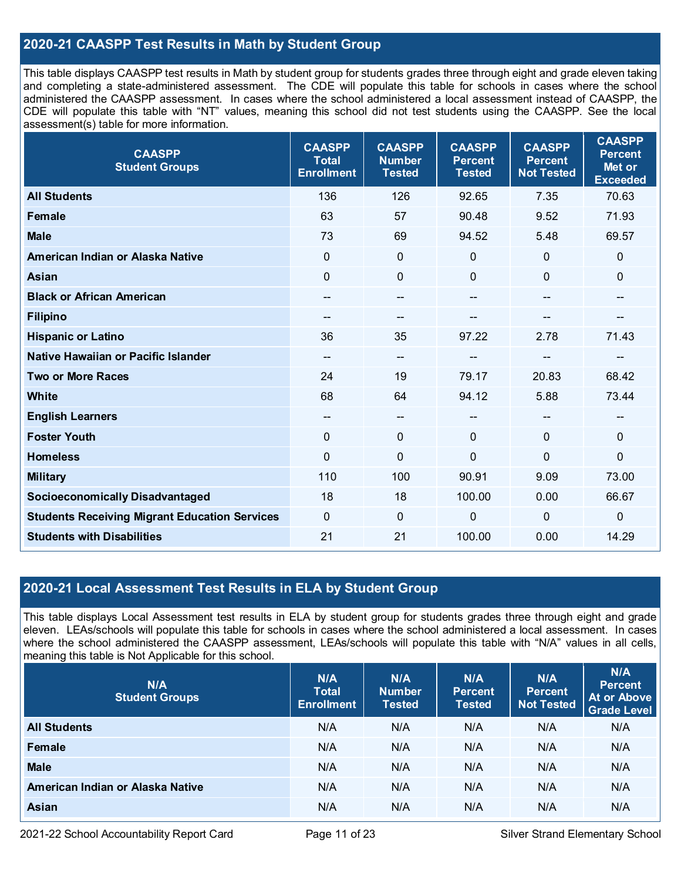## **2020-21 CAASPP Test Results in Math by Student Group**

This table displays CAASPP test results in Math by student group for students grades three through eight and grade eleven taking and completing a state-administered assessment. The CDE will populate this table for schools in cases where the school administered the CAASPP assessment. In cases where the school administered a local assessment instead of CAASPP, the CDE will populate this table with "NT" values, meaning this school did not test students using the CAASPP. See the local assessment(s) table for more information.

| <b>CAASPP</b><br><b>Student Groups</b>               | <b>CAASPP</b><br><b>Total</b><br><b>Enrollment</b> | <b>CAASPP</b><br><b>Number</b><br><b>Tested</b> | <b>CAASPP</b><br><b>Percent</b><br><b>Tested</b> | <b>CAASPP</b><br><b>Percent</b><br><b>Not Tested</b> | <b>CAASPP</b><br><b>Percent</b><br>Met or<br><b>Exceeded</b> |
|------------------------------------------------------|----------------------------------------------------|-------------------------------------------------|--------------------------------------------------|------------------------------------------------------|--------------------------------------------------------------|
| <b>All Students</b>                                  | 136                                                | 126                                             | 92.65                                            | 7.35                                                 | 70.63                                                        |
| <b>Female</b>                                        | 63                                                 | 57                                              | 90.48                                            | 9.52                                                 | 71.93                                                        |
| <b>Male</b>                                          | 73                                                 | 69                                              | 94.52                                            | 5.48                                                 | 69.57                                                        |
| American Indian or Alaska Native                     | $\mathbf 0$                                        | $\mathbf 0$                                     | $\mathbf 0$                                      | 0                                                    | $\mathbf 0$                                                  |
| <b>Asian</b>                                         | $\mathbf 0$                                        | 0                                               | $\mathbf 0$                                      | 0                                                    | $\mathbf 0$                                                  |
| <b>Black or African American</b>                     | --                                                 | $-$                                             | $\qquad \qquad \blacksquare$                     | $-$                                                  | $\qquad \qquad \blacksquare$                                 |
| <b>Filipino</b>                                      |                                                    | --                                              |                                                  |                                                      |                                                              |
| <b>Hispanic or Latino</b>                            | 36                                                 | 35                                              | 97.22                                            | 2.78                                                 | 71.43                                                        |
| Native Hawaiian or Pacific Islander                  | --                                                 | --                                              | --                                               | --                                                   | $\qquad \qquad \qquad \qquad$                                |
| <b>Two or More Races</b>                             | 24                                                 | 19                                              | 79.17                                            | 20.83                                                | 68.42                                                        |
| <b>White</b>                                         | 68                                                 | 64                                              | 94.12                                            | 5.88                                                 | 73.44                                                        |
| <b>English Learners</b>                              |                                                    | $-$                                             | $\overline{\phantom{a}}$                         |                                                      | $\qquad \qquad \blacksquare$                                 |
| <b>Foster Youth</b>                                  | $\mathbf{0}$                                       | 0                                               | $\Omega$                                         | $\mathbf 0$                                          | $\mathbf 0$                                                  |
| <b>Homeless</b>                                      | $\mathbf 0$                                        | $\mathbf 0$                                     | $\mathbf 0$                                      | 0                                                    | $\mathbf 0$                                                  |
| <b>Military</b>                                      | 110                                                | 100                                             | 90.91                                            | 9.09                                                 | 73.00                                                        |
| <b>Socioeconomically Disadvantaged</b>               | 18                                                 | 18                                              | 100.00                                           | 0.00                                                 | 66.67                                                        |
| <b>Students Receiving Migrant Education Services</b> | 0                                                  | $\mathbf 0$                                     | $\mathbf 0$                                      | 0                                                    | $\mathbf 0$                                                  |
| <b>Students with Disabilities</b>                    | 21                                                 | 21                                              | 100.00                                           | 0.00                                                 | 14.29                                                        |

### **2020-21 Local Assessment Test Results in ELA by Student Group**

This table displays Local Assessment test results in ELA by student group for students grades three through eight and grade eleven. LEAs/schools will populate this table for schools in cases where the school administered a local assessment. In cases where the school administered the CAASPP assessment, LEAs/schools will populate this table with "N/A" values in all cells, meaning this table is Not Applicable for this school.

| N/A<br><b>Student Groups</b>     | N/A<br><b>Total</b><br><b>Enrollment</b> | N/A<br><b>Number</b><br><b>Tested</b> | N/A<br><b>Percent</b><br><b>Tested</b> | N/A<br><b>Percent</b><br><b>Not Tested</b> | N/A<br><b>Percent</b><br><b>At or Above</b><br><b>Grade Level</b> |
|----------------------------------|------------------------------------------|---------------------------------------|----------------------------------------|--------------------------------------------|-------------------------------------------------------------------|
| <b>All Students</b>              | N/A                                      | N/A                                   | N/A                                    | N/A                                        | N/A                                                               |
| Female                           | N/A                                      | N/A                                   | N/A                                    | N/A                                        | N/A                                                               |
| <b>Male</b>                      | N/A                                      | N/A                                   | N/A                                    | N/A                                        | N/A                                                               |
| American Indian or Alaska Native | N/A                                      | N/A                                   | N/A                                    | N/A                                        | N/A                                                               |
| <b>Asian</b>                     | N/A                                      | N/A                                   | N/A                                    | N/A                                        | N/A                                                               |

2021-22 School Accountability Report Card **Page 11 of 23** Silver Strand Elementary School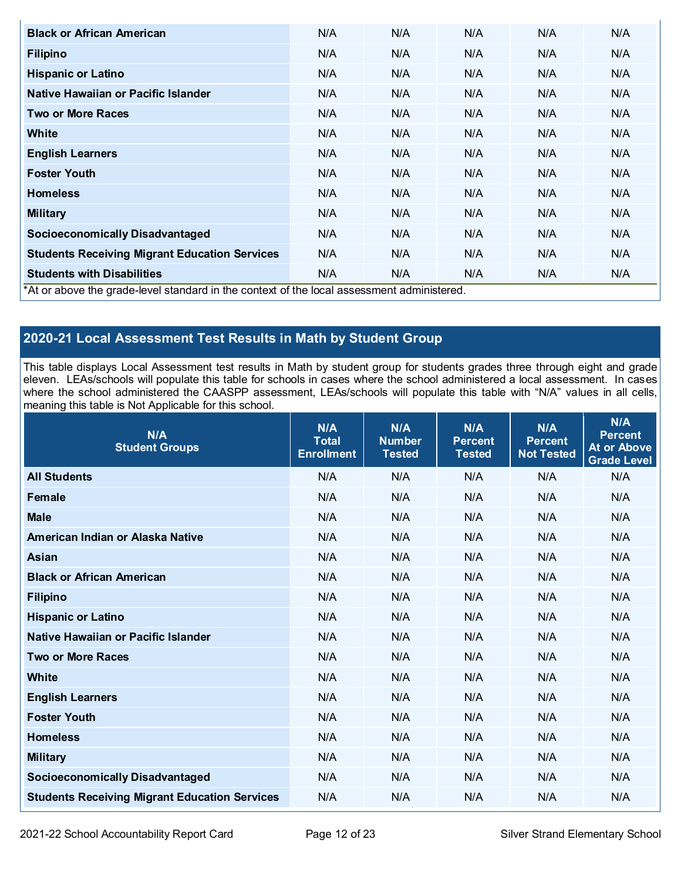| <b>Black or African American</b>                                                          | N/A | N/A | N/A | N/A | N/A |
|-------------------------------------------------------------------------------------------|-----|-----|-----|-----|-----|
| <b>Filipino</b>                                                                           | N/A | N/A | N/A | N/A | N/A |
| <b>Hispanic or Latino</b>                                                                 | N/A | N/A | N/A | N/A | N/A |
| Native Hawaiian or Pacific Islander                                                       | N/A | N/A | N/A | N/A | N/A |
| <b>Two or More Races</b>                                                                  | N/A | N/A | N/A | N/A | N/A |
| White                                                                                     | N/A | N/A | N/A | N/A | N/A |
| <b>English Learners</b>                                                                   | N/A | N/A | N/A | N/A | N/A |
| <b>Foster Youth</b>                                                                       | N/A | N/A | N/A | N/A | N/A |
| <b>Homeless</b>                                                                           | N/A | N/A | N/A | N/A | N/A |
| <b>Military</b>                                                                           | N/A | N/A | N/A | N/A | N/A |
| <b>Socioeconomically Disadvantaged</b>                                                    | N/A | N/A | N/A | N/A | N/A |
| <b>Students Receiving Migrant Education Services</b>                                      | N/A | N/A | N/A | N/A | N/A |
| <b>Students with Disabilities</b>                                                         | N/A | N/A | N/A | N/A | N/A |
| *At or above the grade-level standard in the context of the local assessment administered |     |     |     |     |     |

\*At or above the grade-level standard in the context of the local assessment administered.

# **2020-21 Local Assessment Test Results in Math by Student Group**

This table displays Local Assessment test results in Math by student group for students grades three through eight and grade eleven. LEAs/schools will populate this table for schools in cases where the school administered a local assessment. In cases where the school administered the CAASPP assessment, LEAs/schools will populate this table with "N/A" values in all cells, meaning this table is Not Applicable for this school.

| N/A<br><b>Student Groups</b>                         | N/A<br><b>Total</b><br><b>Enrollment</b> | N/A<br><b>Number</b><br><b>Tested</b> | N/A<br><b>Percent</b><br><b>Tested</b> | N/A<br><b>Percent</b><br><b>Not Tested</b> | N/A<br><b>Percent</b><br><b>At or Above</b><br><b>Grade Level</b> |
|------------------------------------------------------|------------------------------------------|---------------------------------------|----------------------------------------|--------------------------------------------|-------------------------------------------------------------------|
| <b>All Students</b>                                  | N/A                                      | N/A                                   | N/A                                    | N/A                                        | N/A                                                               |
| <b>Female</b>                                        | N/A                                      | N/A                                   | N/A                                    | N/A                                        | N/A                                                               |
| <b>Male</b>                                          | N/A                                      | N/A                                   | N/A                                    | N/A                                        | N/A                                                               |
| American Indian or Alaska Native                     | N/A                                      | N/A                                   | N/A                                    | N/A                                        | N/A                                                               |
| <b>Asian</b>                                         | N/A                                      | N/A                                   | N/A                                    | N/A                                        | N/A                                                               |
| <b>Black or African American</b>                     | N/A                                      | N/A                                   | N/A                                    | N/A                                        | N/A                                                               |
| <b>Filipino</b>                                      | N/A                                      | N/A                                   | N/A                                    | N/A                                        | N/A                                                               |
| <b>Hispanic or Latino</b>                            | N/A                                      | N/A                                   | N/A                                    | N/A                                        | N/A                                                               |
| Native Hawaiian or Pacific Islander                  | N/A                                      | N/A                                   | N/A                                    | N/A                                        | N/A                                                               |
| <b>Two or More Races</b>                             | N/A                                      | N/A                                   | N/A                                    | N/A                                        | N/A                                                               |
| <b>White</b>                                         | N/A                                      | N/A                                   | N/A                                    | N/A                                        | N/A                                                               |
| <b>English Learners</b>                              | N/A                                      | N/A                                   | N/A                                    | N/A                                        | N/A                                                               |
| <b>Foster Youth</b>                                  | N/A                                      | N/A                                   | N/A                                    | N/A                                        | N/A                                                               |
| <b>Homeless</b>                                      | N/A                                      | N/A                                   | N/A                                    | N/A                                        | N/A                                                               |
| <b>Military</b>                                      | N/A                                      | N/A                                   | N/A                                    | N/A                                        | N/A                                                               |
| <b>Socioeconomically Disadvantaged</b>               | N/A                                      | N/A                                   | N/A                                    | N/A                                        | N/A                                                               |
| <b>Students Receiving Migrant Education Services</b> | N/A                                      | N/A                                   | N/A                                    | N/A                                        | N/A                                                               |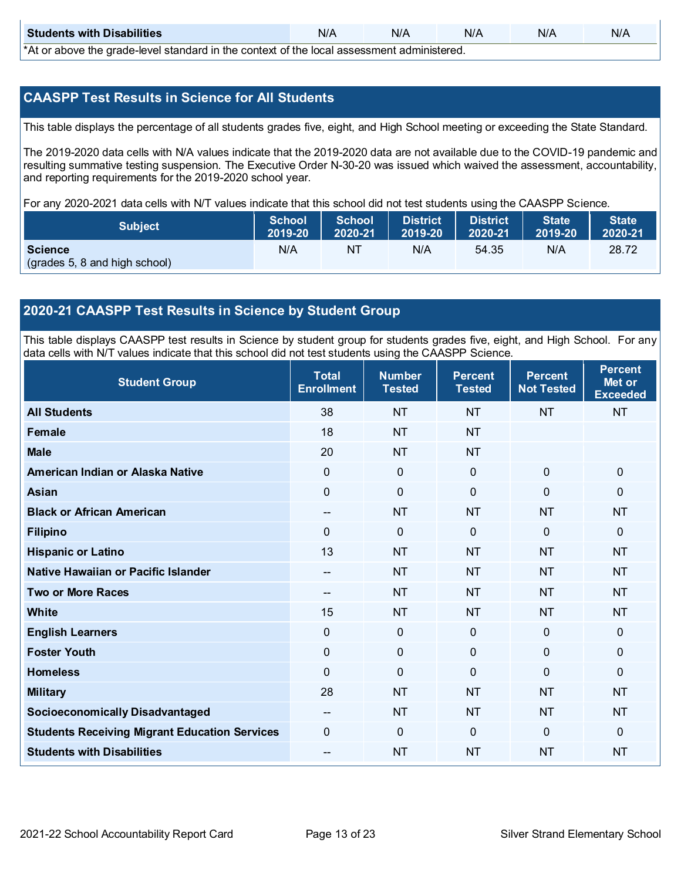| <b>Students with Disabilities</b>                                                                 | N/A | N/A | N/A | N/A | N/A |  |  |  |
|---------------------------------------------------------------------------------------------------|-----|-----|-----|-----|-----|--|--|--|
| $*$ $\wedge$ ar above the arade lovel standard in the context of the lead cosessment administered |     |     |     |     |     |  |  |  |

\*At or above the grade-level standard in the context of the local assessment administered.

### **CAASPP Test Results in Science for All Students**

This table displays the percentage of all students grades five, eight, and High School meeting or exceeding the State Standard.

The 2019-2020 data cells with N/A values indicate that the 2019-2020 data are not available due to the COVID-19 pandemic and resulting summative testing suspension. The Executive Order N-30-20 was issued which waived the assessment, accountability, and reporting requirements for the 2019-2020 school year.

For any 2020-2021 data cells with N/T values indicate that this school did not test students using the CAASPP Science.

| <b>Subject</b>                | 2019-20 | School School<br>2020-21 | <b>District</b><br>$2019-20$ | District<br>$2020-21$ | <b>State</b><br>$\blacksquare$ 2019-20 | <b>State</b><br>2020-21 |
|-------------------------------|---------|--------------------------|------------------------------|-----------------------|----------------------------------------|-------------------------|
| <b>Science</b>                | N/A     | NT                       | N/A                          | 54.35                 | N/A                                    | 28.72                   |
| (grades 5, 8 and high school) |         |                          |                              |                       |                                        |                         |

### **2020-21 CAASPP Test Results in Science by Student Group**

This table displays CAASPP test results in Science by student group for students grades five, eight, and High School. For any data cells with N/T values indicate that this school did not test students using the CAASPP Science.

| <b>Student Group</b>                                 | <b>Total</b><br><b>Enrollment</b> | <b>Number</b><br><b>Tested</b> | <b>Percent</b><br><b>Tested</b> | <b>Percent</b><br><b>Not Tested</b> | <b>Percent</b><br>Met or<br><b>Exceeded</b> |
|------------------------------------------------------|-----------------------------------|--------------------------------|---------------------------------|-------------------------------------|---------------------------------------------|
| <b>All Students</b>                                  | 38                                | <b>NT</b>                      | <b>NT</b>                       | <b>NT</b>                           | <b>NT</b>                                   |
| Female                                               | 18                                | <b>NT</b>                      | <b>NT</b>                       |                                     |                                             |
| <b>Male</b>                                          | 20                                | <b>NT</b>                      | <b>NT</b>                       |                                     |                                             |
| American Indian or Alaska Native                     | $\mathbf 0$                       | $\mathbf 0$                    | $\mathbf 0$                     | $\mathbf 0$                         | $\mathbf 0$                                 |
| <b>Asian</b>                                         | $\mathbf 0$                       | $\mathbf 0$                    | $\mathbf 0$                     | $\mathbf 0$                         | $\mathbf 0$                                 |
| <b>Black or African American</b>                     | $\overline{a}$                    | <b>NT</b>                      | <b>NT</b>                       | <b>NT</b>                           | <b>NT</b>                                   |
| <b>Filipino</b>                                      | $\mathbf 0$                       | $\mathbf 0$                    | $\mathbf{0}$                    | $\mathbf{0}$                        | $\mathbf 0$                                 |
| <b>Hispanic or Latino</b>                            | 13                                | <b>NT</b>                      | <b>NT</b>                       | <b>NT</b>                           | <b>NT</b>                                   |
| Native Hawaiian or Pacific Islander                  | --                                | <b>NT</b>                      | <b>NT</b>                       | <b>NT</b>                           | <b>NT</b>                                   |
| <b>Two or More Races</b>                             | --                                | <b>NT</b>                      | <b>NT</b>                       | <b>NT</b>                           | <b>NT</b>                                   |
| <b>White</b>                                         | 15                                | <b>NT</b>                      | <b>NT</b>                       | <b>NT</b>                           | <b>NT</b>                                   |
| <b>English Learners</b>                              | $\mathbf 0$                       | $\mathbf 0$                    | $\mathbf 0$                     | $\mathbf 0$                         | $\mathbf 0$                                 |
| <b>Foster Youth</b>                                  | 0                                 | $\mathbf 0$                    | $\pmb{0}$                       | $\mathbf 0$                         | $\mathbf 0$                                 |
| <b>Homeless</b>                                      | $\overline{0}$                    | $\mathbf 0$                    | $\mathbf{0}$                    | $\overline{0}$                      | $\mathbf 0$                                 |
| <b>Military</b>                                      | 28                                | <b>NT</b>                      | <b>NT</b>                       | <b>NT</b>                           | <b>NT</b>                                   |
| <b>Socioeconomically Disadvantaged</b>               | --                                | <b>NT</b>                      | <b>NT</b>                       | <b>NT</b>                           | <b>NT</b>                                   |
| <b>Students Receiving Migrant Education Services</b> | $\mathbf 0$                       | $\mathbf{0}$                   | $\mathbf{0}$                    | $\mathbf{0}$                        | $\mathbf{0}$                                |
| <b>Students with Disabilities</b>                    | $\overline{\phantom{a}}$          | <b>NT</b>                      | <b>NT</b>                       | <b>NT</b>                           | <b>NT</b>                                   |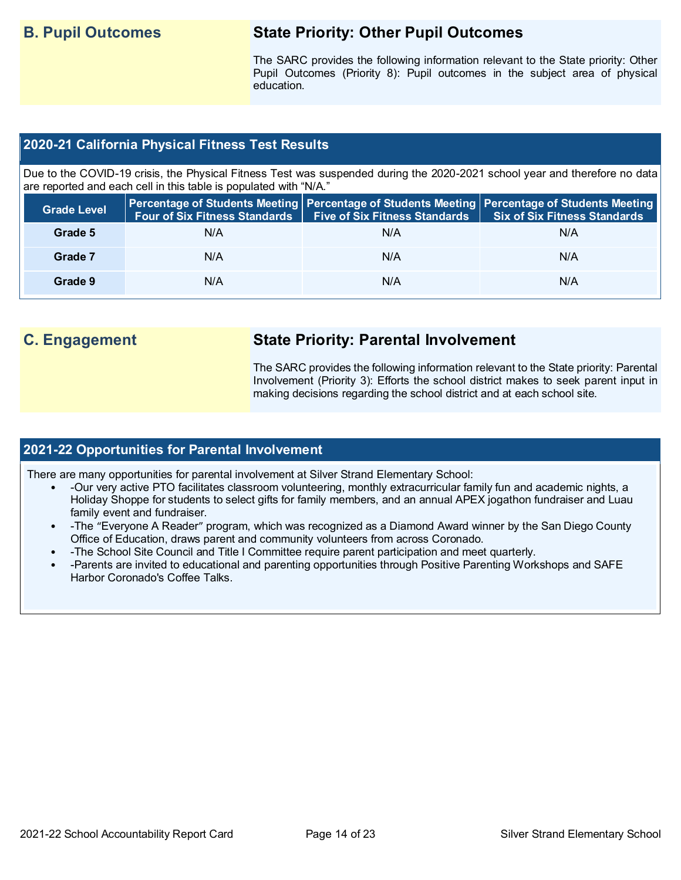# **B. Pupil Outcomes State Priority: Other Pupil Outcomes**

The SARC provides the following information relevant to the State priority: Other Pupil Outcomes (Priority 8): Pupil outcomes in the subject area of physical education.

### **2020-21 California Physical Fitness Test Results**

Due to the COVID-19 crisis, the Physical Fitness Test was suspended during the 2020-2021 school year and therefore no data are reported and each cell in this table is populated with "N/A."

| <b>Grade Level</b> | <b>Four of Six Fitness Standards</b> | Five of Six Fitness Standards   Six of Six Fitness Standards | Percentage of Students Meeting Percentage of Students Meeting Percentage of Students Meeting |
|--------------------|--------------------------------------|--------------------------------------------------------------|----------------------------------------------------------------------------------------------|
| Grade 5            | N/A                                  | N/A                                                          | N/A                                                                                          |
| Grade 7            | N/A                                  | N/A                                                          | N/A                                                                                          |
| Grade 9            | N/A                                  | N/A                                                          | N/A                                                                                          |

# **C. Engagement State Priority: Parental Involvement**

The SARC provides the following information relevant to the State priority: Parental Involvement (Priority 3): Efforts the school district makes to seek parent input in making decisions regarding the school district and at each school site.

### **2021-22 Opportunities for Parental Involvement**

There are many opportunities for parental involvement at Silver Strand Elementary School:

- -Our very active PTO facilitates classroom volunteering, monthly extracurricular family fun and academic nights, a Holiday Shoppe for students to select gifts for family members, and an annual APEX jogathon fundraiser and Luau family event and fundraiser.
- -The "Everyone A Reader" program, which was recognized as a Diamond Award winner by the San Diego County Office of Education, draws parent and community volunteers from across Coronado.
- -The School Site Council and Title I Committee require parent participation and meet quarterly.
- -Parents are invited to educational and parenting opportunities through Positive Parenting Workshops and SAFE Harbor Coronado's Coffee Talks.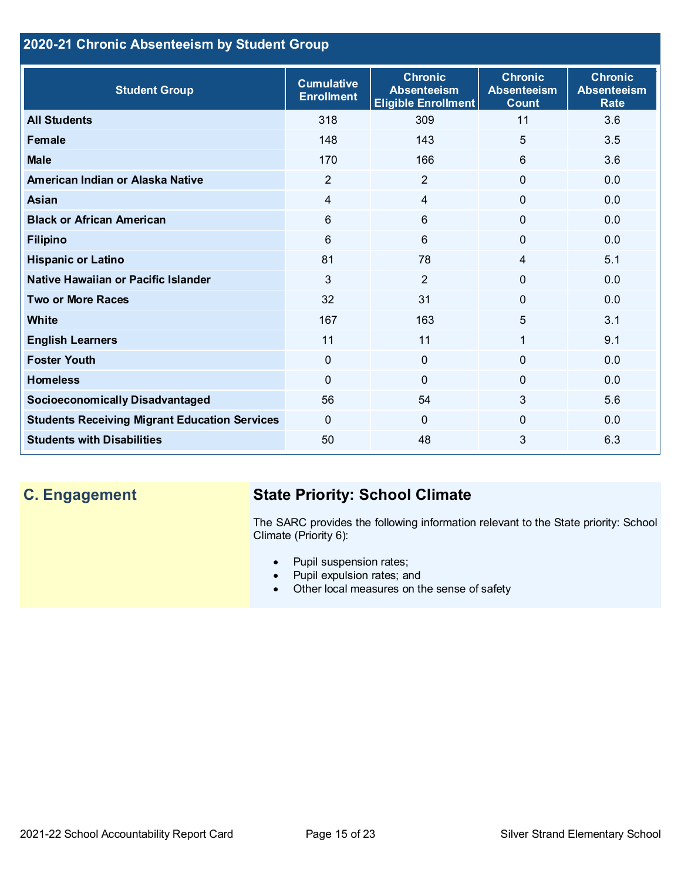## **2020-21 Chronic Absenteeism by Student Group**

| <b>Student Group</b>                                 | <b>Cumulative</b><br><b>Enrollment</b> | <b>Chronic</b><br><b>Absenteeism</b><br><b>Eligible Enrollment</b> | <b>Chronic</b><br><b>Absenteeism</b><br><b>Count</b> | <b>Chronic</b><br><b>Absenteeism</b><br><b>Rate</b> |
|------------------------------------------------------|----------------------------------------|--------------------------------------------------------------------|------------------------------------------------------|-----------------------------------------------------|
| <b>All Students</b>                                  | 318                                    | 309                                                                | 11                                                   | 3.6                                                 |
| <b>Female</b>                                        | 148                                    | 143                                                                | 5                                                    | 3.5                                                 |
| <b>Male</b>                                          | 170                                    | 166                                                                | 6                                                    | 3.6                                                 |
| American Indian or Alaska Native                     | $\overline{2}$                         | $\overline{2}$                                                     | $\mathbf{0}$                                         | 0.0                                                 |
| <b>Asian</b>                                         | 4                                      | $\overline{4}$                                                     | $\mathbf{0}$                                         | 0.0                                                 |
| <b>Black or African American</b>                     | 6                                      | $6\phantom{1}$                                                     | $\overline{0}$                                       | 0.0                                                 |
| <b>Filipino</b>                                      | 6                                      | $6\phantom{1}$                                                     | 0                                                    | 0.0                                                 |
| <b>Hispanic or Latino</b>                            | 81                                     | 78                                                                 | 4                                                    | 5.1                                                 |
| Native Hawaiian or Pacific Islander                  | 3                                      | $\overline{2}$                                                     | 0                                                    | 0.0                                                 |
| <b>Two or More Races</b>                             | 32                                     | 31                                                                 | $\Omega$                                             | 0.0                                                 |
| White                                                | 167                                    | 163                                                                | 5                                                    | 3.1                                                 |
| <b>English Learners</b>                              | 11                                     | 11                                                                 | 1                                                    | 9.1                                                 |
| <b>Foster Youth</b>                                  | $\mathbf 0$                            | 0                                                                  | $\Omega$                                             | 0.0                                                 |
| <b>Homeless</b>                                      | $\Omega$                               | 0                                                                  | $\Omega$                                             | 0.0                                                 |
| <b>Socioeconomically Disadvantaged</b>               | 56                                     | 54                                                                 | 3                                                    | 5.6                                                 |
| <b>Students Receiving Migrant Education Services</b> | $\mathbf{0}$                           | $\mathbf{0}$                                                       | 0                                                    | 0.0                                                 |
| <b>Students with Disabilities</b>                    | 50                                     | 48                                                                 | 3                                                    | 6.3                                                 |

# **C. Engagement State Priority: School Climate**

The SARC provides the following information relevant to the State priority: School Climate (Priority 6):

- Pupil suspension rates;
- Pupil expulsion rates; and
- Other local measures on the sense of safety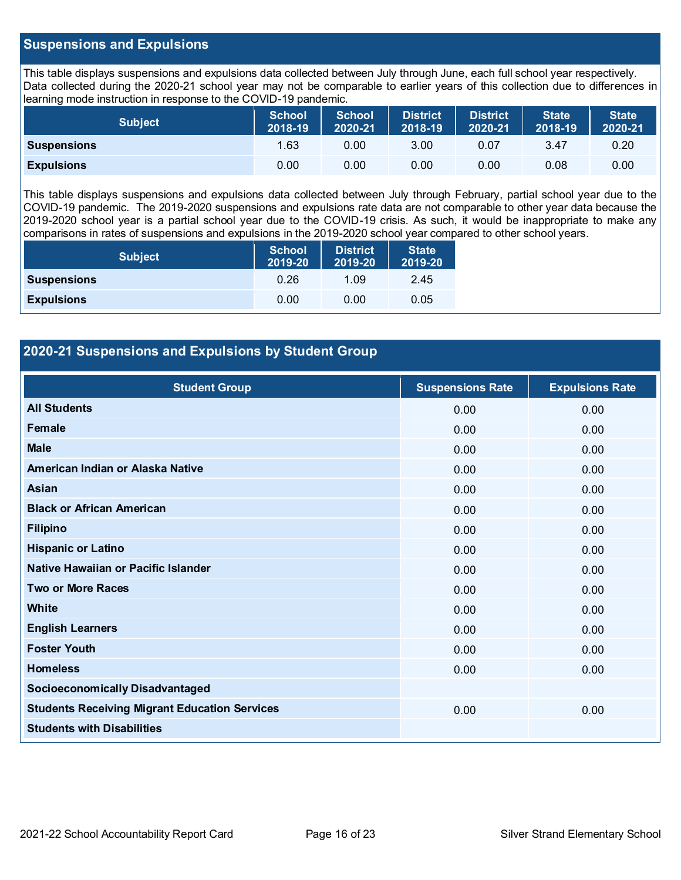### **Suspensions and Expulsions**

This table displays suspensions and expulsions data collected between July through June, each full school year respectively. Data collected during the 2020-21 school year may not be comparable to earlier years of this collection due to differences in learning mode instruction in response to the COVID-19 pandemic.

| <b>Subject</b>     | <b>School</b><br>2018-19 | <b>School</b><br>2020-21 | <b>District</b><br>2018-19 | <b>District</b><br>2020-21 | <b>State</b><br>2018-19 | <b>State</b><br>2020-21 |
|--------------------|--------------------------|--------------------------|----------------------------|----------------------------|-------------------------|-------------------------|
| <b>Suspensions</b> | 1.63                     | 0.00                     | 3.00                       | 0.07                       | 3.47                    | 0.20                    |
| <b>Expulsions</b>  | 0.00                     | 0.00                     | 0.00                       | 0.00                       | 0.08                    | 0.00                    |

This table displays suspensions and expulsions data collected between July through February, partial school year due to the COVID-19 pandemic. The 2019-2020 suspensions and expulsions rate data are not comparable to other year data because the 2019-2020 school year is a partial school year due to the COVID-19 crisis. As such, it would be inappropriate to make any comparisons in rates of suspensions and expulsions in the 2019-2020 school year compared to other school years.

| <b>Subject</b>     | <b>School</b><br>2019-20 | <b>District</b><br>2019-20 | <b>State</b><br>2019-20 |
|--------------------|--------------------------|----------------------------|-------------------------|
| <b>Suspensions</b> | 0.26                     | 1.09                       | 2.45                    |
| <b>Expulsions</b>  | 0.00                     | 0.00                       | 0.05                    |

### **2020-21 Suspensions and Expulsions by Student Group**

| <b>Student Group</b>                                 | <b>Suspensions Rate</b> | <b>Expulsions Rate</b> |
|------------------------------------------------------|-------------------------|------------------------|
| <b>All Students</b>                                  | 0.00                    | 0.00                   |
| Female                                               | 0.00                    | 0.00                   |
| <b>Male</b>                                          | 0.00                    | 0.00                   |
| American Indian or Alaska Native                     | 0.00                    | 0.00                   |
| Asian                                                | 0.00                    | 0.00                   |
| <b>Black or African American</b>                     | 0.00                    | 0.00                   |
| <b>Filipino</b>                                      | 0.00                    | 0.00                   |
| <b>Hispanic or Latino</b>                            | 0.00                    | 0.00                   |
| Native Hawaiian or Pacific Islander                  | 0.00                    | 0.00                   |
| <b>Two or More Races</b>                             | 0.00                    | 0.00                   |
| White                                                | 0.00                    | 0.00                   |
| <b>English Learners</b>                              | 0.00                    | 0.00                   |
| <b>Foster Youth</b>                                  | 0.00                    | 0.00                   |
| <b>Homeless</b>                                      | 0.00                    | 0.00                   |
| <b>Socioeconomically Disadvantaged</b>               |                         |                        |
| <b>Students Receiving Migrant Education Services</b> | 0.00                    | 0.00                   |
| <b>Students with Disabilities</b>                    |                         |                        |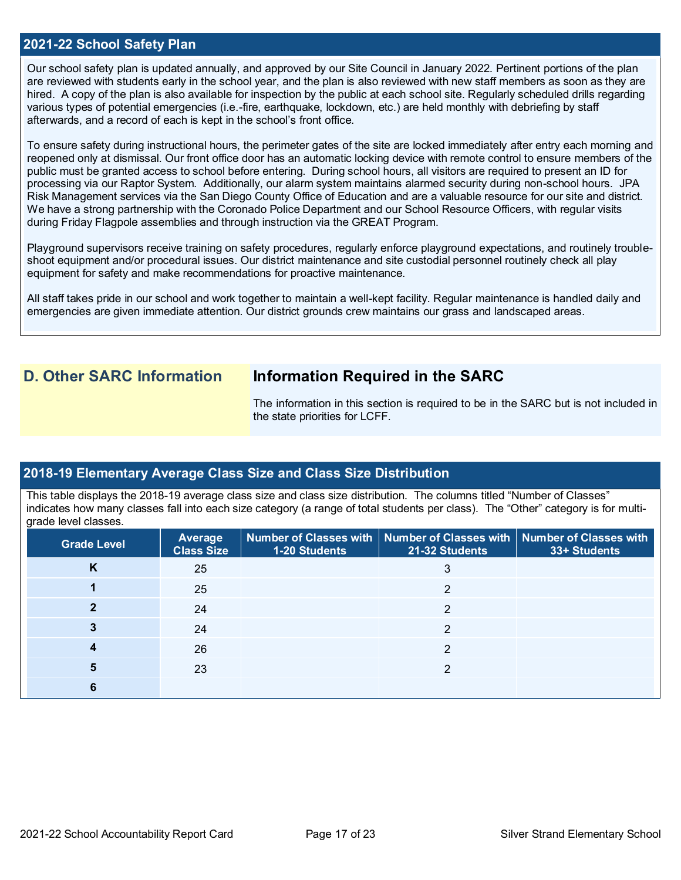### **2021-22 School Safety Plan**

Our school safety plan is updated annually, and approved by our Site Council in January 2022. Pertinent portions of the plan are reviewed with students early in the school year, and the plan is also reviewed with new staff members as soon as they are hired. A copy of the plan is also available for inspection by the public at each school site. Regularly scheduled drills regarding various types of potential emergencies (i.e.-fire, earthquake, lockdown, etc.) are held monthly with debriefing by staff afterwards, and a record of each is kept in the school's front office.

To ensure safety during instructional hours, the perimeter gates of the site are locked immediately after entry each morning and reopened only at dismissal. Our front office door has an automatic locking device with remote control to ensure members of the public must be granted access to school before entering. During school hours, all visitors are required to present an ID for processing via our Raptor System. Additionally, our alarm system maintains alarmed security during non-school hours. JPA Risk Management services via the San Diego County Office of Education and are a valuable resource for our site and district. We have a strong partnership with the Coronado Police Department and our School Resource Officers, with regular visits during Friday Flagpole assemblies and through instruction via the GREAT Program.

Playground supervisors receive training on safety procedures, regularly enforce playground expectations, and routinely troubleshoot equipment and/or procedural issues. Our district maintenance and site custodial personnel routinely check all play equipment for safety and make recommendations for proactive maintenance.

All staff takes pride in our school and work together to maintain a well-kept facility. Regular maintenance is handled daily and emergencies are given immediate attention. Our district grounds crew maintains our grass and landscaped areas.

## **D. Other SARC Information Information Required in the SARC**

The information in this section is required to be in the SARC but is not included in the state priorities for LCFF.

### **2018-19 Elementary Average Class Size and Class Size Distribution**

This table displays the 2018-19 average class size and class size distribution. The columns titled "Number of Classes" indicates how many classes fall into each size category (a range of total students per class). The "Other" category is for multigrade level classes.

| <b>Grade Level</b> | Average<br><b>Class Size</b> | 1-20 Students | Number of Classes with   Number of Classes with   Number of Classes with<br>21-32 Students | 33+ Students |
|--------------------|------------------------------|---------------|--------------------------------------------------------------------------------------------|--------------|
| ĸ                  | 25                           |               | 3                                                                                          |              |
|                    | 25                           |               |                                                                                            |              |
|                    | 24                           |               | າ                                                                                          |              |
|                    | 24                           |               |                                                                                            |              |
|                    | 26                           |               | 2                                                                                          |              |
|                    | 23                           |               |                                                                                            |              |
|                    |                              |               |                                                                                            |              |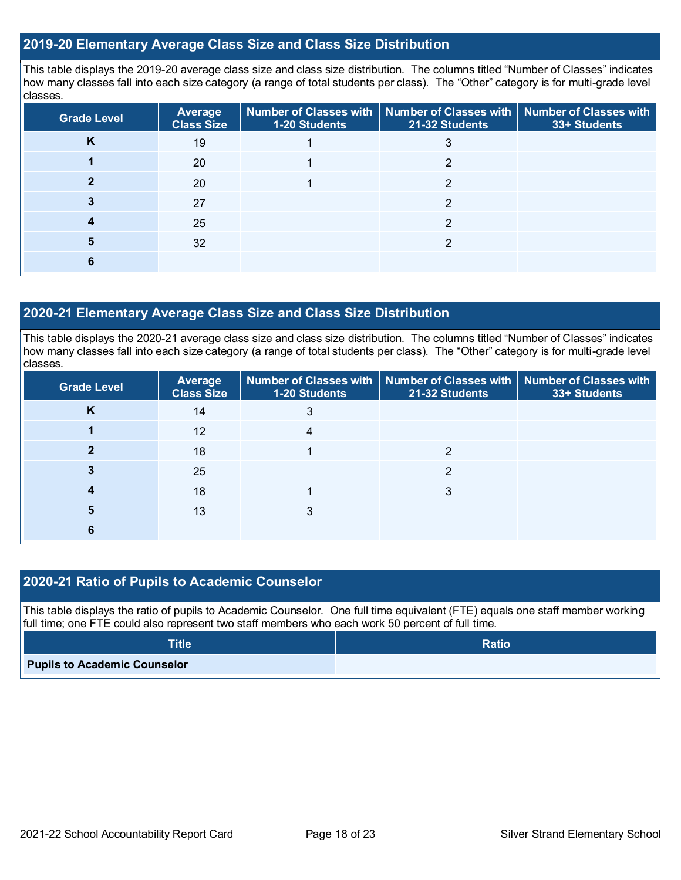### **2019-20 Elementary Average Class Size and Class Size Distribution**

This table displays the 2019-20 average class size and class size distribution. The columns titled "Number of Classes" indicates how many classes fall into each size category (a range of total students per class). The "Other" category is for multi-grade level classes.

| <b>Grade Level</b> | Average<br><b>Class Size</b> | 1-20 Students | Number of Classes with   Number of Classes with   Number of Classes with<br>21-32 Students | 33+ Students |
|--------------------|------------------------------|---------------|--------------------------------------------------------------------------------------------|--------------|
| n                  | 19                           |               | د                                                                                          |              |
|                    | 20                           |               | ◠                                                                                          |              |
|                    | 20                           |               |                                                                                            |              |
|                    | 27                           |               | ◠                                                                                          |              |
|                    | 25                           |               | ◠                                                                                          |              |
| 5                  | 32                           |               | ◠                                                                                          |              |
|                    |                              |               |                                                                                            |              |

### **2020-21 Elementary Average Class Size and Class Size Distribution**

This table displays the 2020-21 average class size and class size distribution. The columns titled "Number of Classes" indicates how many classes fall into each size category (a range of total students per class). The "Other" category is for multi-grade level classes.

| <b>Grade Level</b> | <b>Average</b><br><b>Class Size</b> | 1-20 Students | Number of Classes with   Number of Classes with   Number of Classes with<br>21-32 Students | 33+ Students |
|--------------------|-------------------------------------|---------------|--------------------------------------------------------------------------------------------|--------------|
| Κ                  | 14                                  |               |                                                                                            |              |
|                    | 12                                  |               |                                                                                            |              |
|                    | 18                                  |               | ⌒                                                                                          |              |
|                    | 25                                  |               |                                                                                            |              |
|                    | 18                                  |               | 3                                                                                          |              |
| 5                  | 13                                  | 3             |                                                                                            |              |
|                    |                                     |               |                                                                                            |              |

### **2020-21 Ratio of Pupils to Academic Counselor**

This table displays the ratio of pupils to Academic Counselor. One full time equivalent (FTE) equals one staff member working full time; one FTE could also represent two staff members who each work 50 percent of full time.

| <b>Title</b>                        | <b>Ratio</b> |
|-------------------------------------|--------------|
| <b>Pupils to Academic Counselor</b> |              |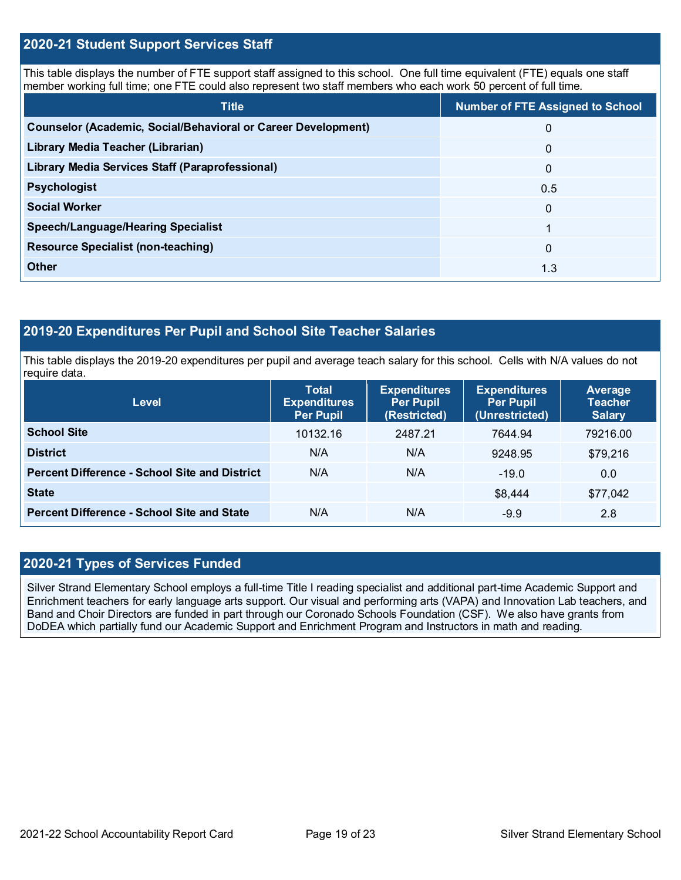### **2020-21 Student Support Services Staff**

This table displays the number of FTE support staff assigned to this school. One full time equivalent (FTE) equals one staff member working full time; one FTE could also represent two staff members who each work 50 percent of full time.

| <b>Title</b>                                                         | <b>Number of FTE Assigned to School</b> |
|----------------------------------------------------------------------|-----------------------------------------|
| <b>Counselor (Academic, Social/Behavioral or Career Development)</b> | 0                                       |
| Library Media Teacher (Librarian)                                    | $\mathbf{0}$                            |
| <b>Library Media Services Staff (Paraprofessional)</b>               | $\mathbf{0}$                            |
| <b>Psychologist</b>                                                  | 0.5                                     |
| <b>Social Worker</b>                                                 | $\Omega$                                |
| <b>Speech/Language/Hearing Specialist</b>                            |                                         |
| <b>Resource Specialist (non-teaching)</b>                            | $\Omega$                                |
| Other                                                                | 1.3                                     |

## **2019-20 Expenditures Per Pupil and School Site Teacher Salaries**

This table displays the 2019-20 expenditures per pupil and average teach salary for this school. Cells with N/A values do not require data.

| <b>Level</b>                                         | <b>Total</b><br><b>Expenditures</b><br><b>Per Pupil</b> | <b>Expenditures</b><br><b>Per Pupil</b><br>(Restricted) | <b>Expenditures</b><br><b>Per Pupil</b><br>(Unrestricted) | Average<br><b>Teacher</b><br><b>Salary</b> |
|------------------------------------------------------|---------------------------------------------------------|---------------------------------------------------------|-----------------------------------------------------------|--------------------------------------------|
| <b>School Site</b>                                   | 10132.16                                                | 2487.21                                                 | 7644.94                                                   | 79216.00                                   |
| <b>District</b>                                      | N/A                                                     | N/A                                                     | 9248.95                                                   | \$79,216                                   |
| <b>Percent Difference - School Site and District</b> | N/A                                                     | N/A                                                     | $-19.0$                                                   | 0.0                                        |
| <b>State</b>                                         |                                                         |                                                         | \$8,444                                                   | \$77,042                                   |
| <b>Percent Difference - School Site and State</b>    | N/A                                                     | N/A                                                     | $-9.9$                                                    | 2.8                                        |

### **2020-21 Types of Services Funded**

Silver Strand Elementary School employs a full-time Title I reading specialist and additional part-time Academic Support and Enrichment teachers for early language arts support. Our visual and performing arts (VAPA) and Innovation Lab teachers, and Band and Choir Directors are funded in part through our Coronado Schools Foundation (CSF). We also have grants from DoDEA which partially fund our Academic Support and Enrichment Program and Instructors in math and reading.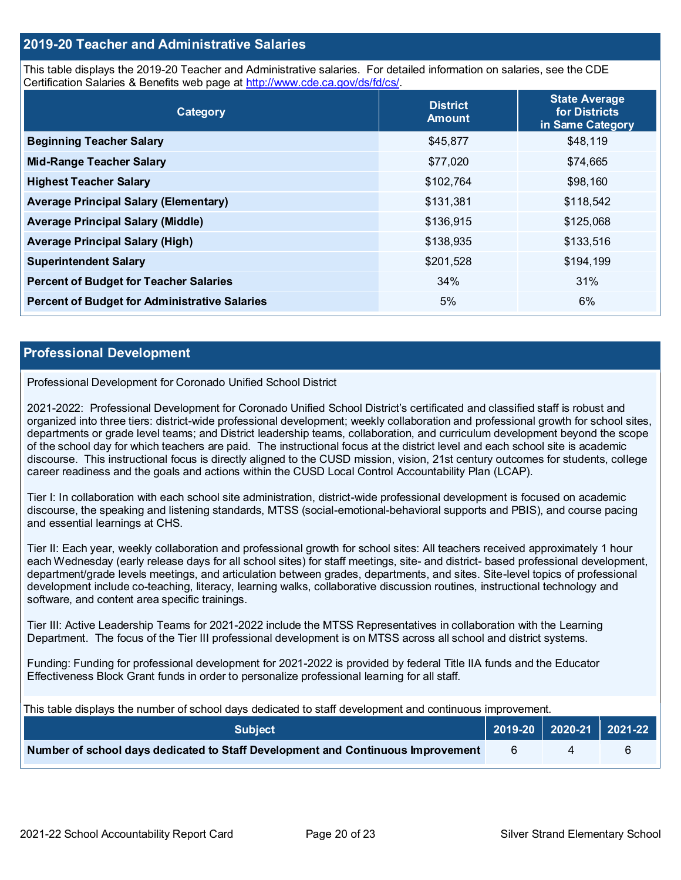### **2019-20 Teacher and Administrative Salaries**

This table displays the 2019-20 Teacher and Administrative salaries. For detailed information on salaries, see the CDE Certification Salaries & Benefits web page at [http://www.cde.ca.gov/ds/fd/cs/.](http://www.cde.ca.gov/ds/fd/cs/)

| Category                                             | <b>District</b><br><b>Amount</b> | <b>State Average</b><br>for Districts<br>in Same Category |
|------------------------------------------------------|----------------------------------|-----------------------------------------------------------|
| <b>Beginning Teacher Salary</b>                      | \$45,877                         | \$48,119                                                  |
| <b>Mid-Range Teacher Salary</b>                      | \$77,020                         | \$74,665                                                  |
| <b>Highest Teacher Salary</b>                        | \$102,764                        | \$98,160                                                  |
| <b>Average Principal Salary (Elementary)</b>         | \$131,381                        | \$118,542                                                 |
| <b>Average Principal Salary (Middle)</b>             | \$136,915                        | \$125,068                                                 |
| <b>Average Principal Salary (High)</b>               | \$138,935                        | \$133,516                                                 |
| <b>Superintendent Salary</b>                         | \$201,528                        | \$194,199                                                 |
| <b>Percent of Budget for Teacher Salaries</b>        | 34%                              | 31%                                                       |
| <b>Percent of Budget for Administrative Salaries</b> | 5%                               | $6\%$                                                     |

### **Professional Development**

### Professional Development for Coronado Unified School District

2021-2022: Professional Development for Coronado Unified School District's certificated and classified staff is robust and organized into three tiers: district-wide professional development; weekly collaboration and professional growth for school sites, departments or grade level teams; and District leadership teams, collaboration, and curriculum development beyond the scope of the school day for which teachers are paid. The instructional focus at the district level and each school site is academic discourse. This instructional focus is directly aligned to the CUSD mission, vision, 21st century outcomes for students, college career readiness and the goals and actions within the CUSD Local Control Accountability Plan (LCAP).

Tier I: In collaboration with each school site administration, district-wide professional development is focused on academic discourse, the speaking and listening standards, MTSS (social-emotional-behavioral supports and PBIS), and course pacing and essential learnings at CHS.

Tier II: Each year, weekly collaboration and professional growth for school sites: All teachers received approximately 1 hour each Wednesday (early release days for all school sites) for staff meetings, site- and district- based professional development, department/grade levels meetings, and articulation between grades, departments, and sites. Site-level topics of professional development include co-teaching, literacy, learning walks, collaborative discussion routines, instructional technology and software, and content area specific trainings.

Tier III: Active Leadership Teams for 2021-2022 include the MTSS Representatives in collaboration with the Learning Department. The focus of the Tier III professional development is on MTSS across all school and district systems.

Funding: Funding for professional development for 2021-2022 is provided by federal Title IIA funds and the Educator Effectiveness Block Grant funds in order to personalize professional learning for all staff.

This table displays the number of school days dedicated to staff development and continuous improvement.

| <b>Subject</b>                                                                  |  | 2019-20   2020-21   2021-22 |
|---------------------------------------------------------------------------------|--|-----------------------------|
| Number of school days dedicated to Staff Development and Continuous Improvement |  |                             |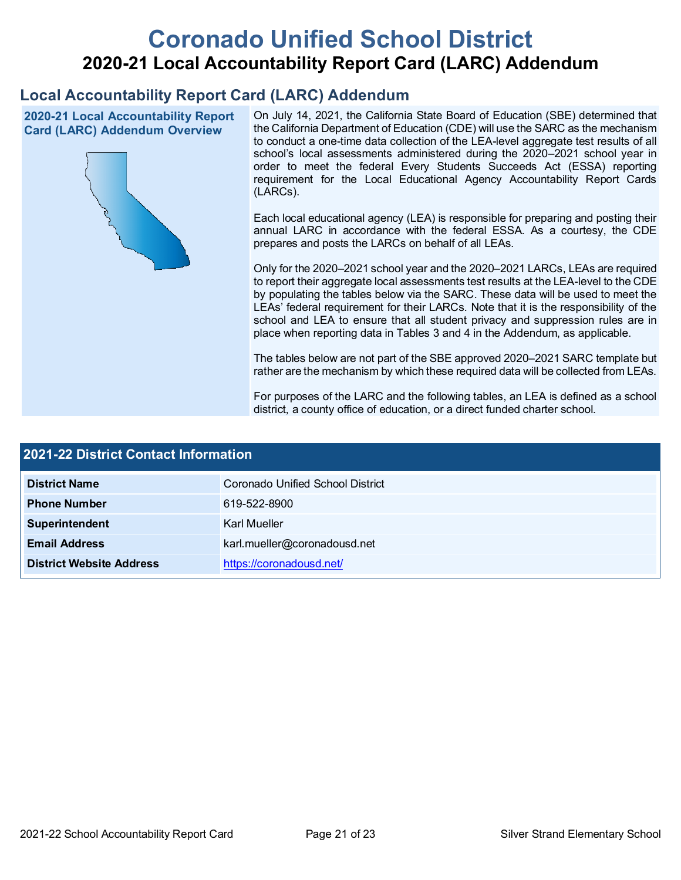# **Coronado Unified School District 2020-21 Local Accountability Report Card (LARC) Addendum**

# **Local Accountability Report Card (LARC) Addendum**

**2020-21 Local Accountability Report Card (LARC) Addendum Overview**



On July 14, 2021, the California State Board of Education (SBE) determined that the California Department of Education (CDE) will use the SARC as the mechanism to conduct a one-time data collection of the LEA-level aggregate test results of all school's local assessments administered during the 2020–2021 school year in order to meet the federal Every Students Succeeds Act (ESSA) reporting requirement for the Local Educational Agency Accountability Report Cards (LARCs).

Each local educational agency (LEA) is responsible for preparing and posting their annual LARC in accordance with the federal ESSA. As a courtesy, the CDE prepares and posts the LARCs on behalf of all LEAs.

Only for the 2020–2021 school year and the 2020–2021 LARCs, LEAs are required to report their aggregate local assessments test results at the LEA-level to the CDE by populating the tables below via the SARC. These data will be used to meet the LEAs' federal requirement for their LARCs. Note that it is the responsibility of the school and LEA to ensure that all student privacy and suppression rules are in place when reporting data in Tables 3 and 4 in the Addendum, as applicable.

The tables below are not part of the SBE approved 2020–2021 SARC template but rather are the mechanism by which these required data will be collected from LEAs.

For purposes of the LARC and the following tables, an LEA is defined as a school district, a county office of education, or a direct funded charter school.

| 2021-22 District Contact Information |                                  |  |
|--------------------------------------|----------------------------------|--|
| <b>District Name</b>                 | Coronado Unified School District |  |
| <b>Phone Number</b>                  | 619-522-8900                     |  |
| Superintendent                       | Karl Mueller                     |  |
| <b>Email Address</b>                 | karl.mueller@coronadousd.net     |  |
| <b>District Website Address</b>      | https://coronadousd.net/         |  |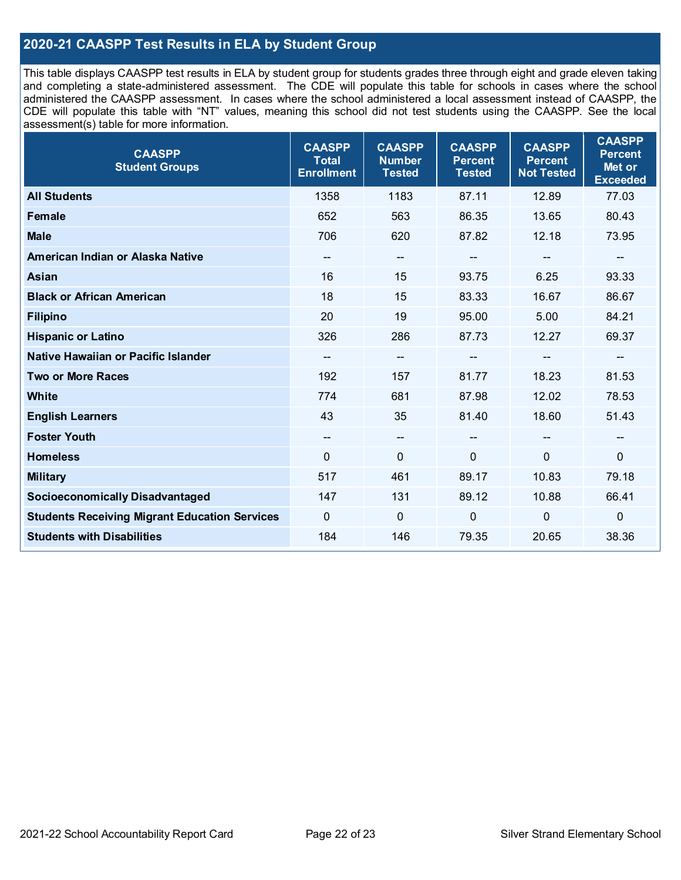## **2020-21 CAASPP Test Results in ELA by Student Group**

This table displays CAASPP test results in ELA by student group for students grades three through eight and grade eleven taking and completing a state-administered assessment. The CDE will populate this table for schools in cases where the school administered the CAASPP assessment. In cases where the school administered a local assessment instead of CAASPP, the CDE will populate this table with "NT" values, meaning this school did not test students using the CAASPP. See the local assessment(s) table for more information.

| <b>CAASPP</b><br><b>Student Groups</b>               | <b>CAASPP</b><br><b>Total</b><br><b>Enrollment</b> | <b>CAASPP</b><br><b>Number</b><br><b>Tested</b> | <b>CAASPP</b><br><b>Percent</b><br><b>Tested</b> | <b>CAASPP</b><br><b>Percent</b><br><b>Not Tested</b> | <b>CAASPP</b><br><b>Percent</b><br>Met or<br><b>Exceeded</b> |
|------------------------------------------------------|----------------------------------------------------|-------------------------------------------------|--------------------------------------------------|------------------------------------------------------|--------------------------------------------------------------|
| <b>All Students</b>                                  | 1358                                               | 1183                                            | 87.11                                            | 12.89                                                | 77.03                                                        |
| <b>Female</b>                                        | 652                                                | 563                                             | 86.35                                            | 13.65                                                | 80.43                                                        |
| <b>Male</b>                                          | 706                                                | 620                                             | 87.82                                            | 12.18                                                | 73.95                                                        |
| American Indian or Alaska Native                     | $\hspace{0.05cm}$ – $\hspace{0.05cm}$              | $-$                                             | --                                               | $\qquad \qquad \blacksquare$                         | $\overline{\phantom{a}}$                                     |
| Asian                                                | 16                                                 | 15                                              | 93.75                                            | 6.25                                                 | 93.33                                                        |
| <b>Black or African American</b>                     | 18                                                 | 15                                              | 83.33                                            | 16.67                                                | 86.67                                                        |
| <b>Filipino</b>                                      | 20                                                 | 19                                              | 95.00                                            | 5.00                                                 | 84.21                                                        |
| <b>Hispanic or Latino</b>                            | 326                                                | 286                                             | 87.73                                            | 12.27                                                | 69.37                                                        |
| Native Hawaiian or Pacific Islander                  | $\qquad \qquad \qquad -$                           | --                                              |                                                  | --                                                   | $\qquad \qquad \qquad -$                                     |
| <b>Two or More Races</b>                             | 192                                                | 157                                             | 81.77                                            | 18.23                                                | 81.53                                                        |
| <b>White</b>                                         | 774                                                | 681                                             | 87.98                                            | 12.02                                                | 78.53                                                        |
| <b>English Learners</b>                              | 43                                                 | 35                                              | 81.40                                            | 18.60                                                | 51.43                                                        |
| <b>Foster Youth</b>                                  | $\overline{\phantom{a}}$                           | $\overline{\phantom{a}}$                        | --                                               |                                                      | $\overline{\phantom{a}}$                                     |
| <b>Homeless</b>                                      | $\mathbf{0}$                                       | $\mathbf 0$                                     | $\mathbf{0}$                                     | 0                                                    | $\mathbf 0$                                                  |
| <b>Military</b>                                      | 517                                                | 461                                             | 89.17                                            | 10.83                                                | 79.18                                                        |
| <b>Socioeconomically Disadvantaged</b>               | 147                                                | 131                                             | 89.12                                            | 10.88                                                | 66.41                                                        |
| <b>Students Receiving Migrant Education Services</b> | $\mathbf 0$                                        | $\mathbf 0$                                     | 0                                                | 0                                                    | $\mathbf 0$                                                  |
| <b>Students with Disabilities</b>                    | 184                                                | 146                                             | 79.35                                            | 20.65                                                | 38.36                                                        |